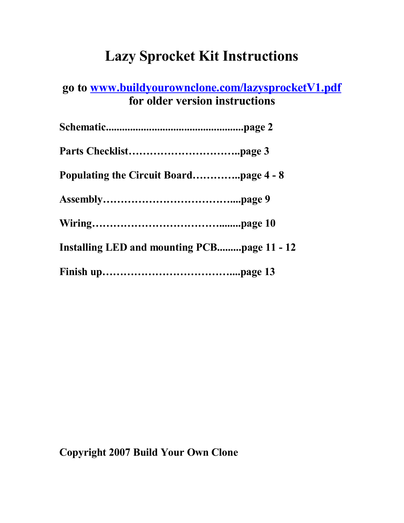# **Lazy Sprocket Kit Instructions**

## **go to [www.buildyourownclone.com/lazysprocketV1.pdf](http://www.buildyourownclone.com/lazysprocketV1.pdf) for older version instructions**

| Installing LED and mounting PCBpage 11 - 12 |  |
|---------------------------------------------|--|
|                                             |  |

## **Copyright 2007 Build Your Own Clone**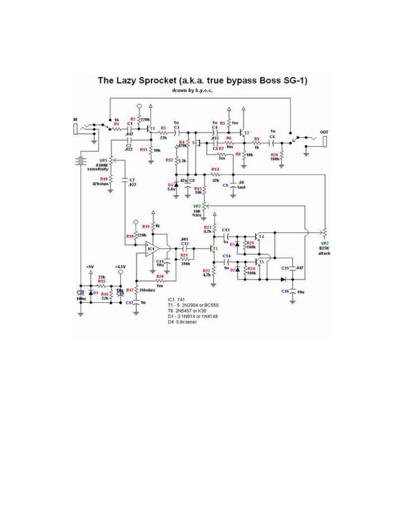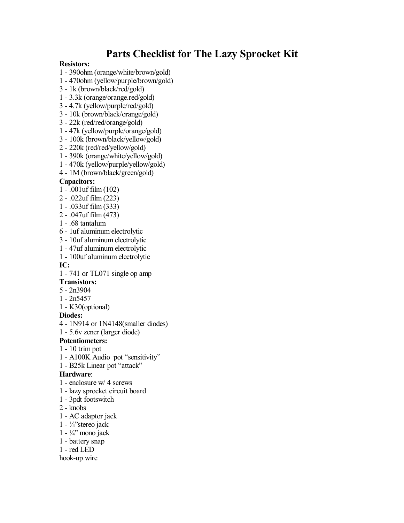### **Parts Checklist for The Lazy Sprocket Kit**

#### **Resistors:**

- 1 390ohm (orange/white/brown/gold)
- 1 470ohm (yellow/purple/brown/gold)
- 3 1k (brown/black/red/gold)
- 1 3.3k (orange/orange.red/gold)
- 3 4.7k (yellow/purple/red/gold)
- 3 10k (brown/black/orange/gold)
- 3 22k (red/red/orange/gold)
- 1 47k (yellow/purple/orange/gold)
- 3 100k (brown/black/yellow/gold)
- 2 220k (red/red/yellow/gold)
- 1 390k (orange/white/yellow/gold)
- 1 470k (yellow/purple/yellow/gold)
- 4 1M (brown/black/green/gold)

#### **Capacitors:**

- 1 .001uf film (102)
- 2 .022uf film (223)
- 1 .033uf film (333)
- 2 .047uf film (473)
- 1 .68 tantalum
- 6 1uf aluminum electrolytic
- 3 10uf aluminum electrolytic
- 1 47uf aluminum electrolytic
- 1 100uf aluminum electrolytic

#### **IC:**

1 - 741 or TL071 single op amp

#### **Transistors:**

- 5 2n3904
- 1 2n5457
- 1 K30(optional)

#### **Diodes:**

- 4 1N914 or 1N4148(smaller diodes)
- 1 5.6v zener (larger diode)

#### **Potentiometers:**

- 1 10 trim pot
- 1 A100K Audio pot "sensitivity"
- 1 B25k Linear pot "attack"

#### **Hardware**:

- 1 enclosure w/ 4 screws
- 1 lazy sprocket circuit board
- 1 3pdt footswitch
- 2 knobs
- 1 AC adaptor jack
- 1  $\frac{1}{4}$ 'stereo jack
- $1 \frac{1}{4}$ <sup>2</sup> mono jack
- 1 battery snap
- 1 red LED

#### hook-up wire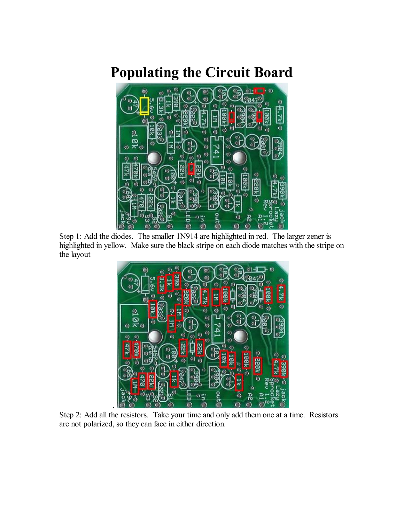# **Populating the Circuit Board**



Step 1: Add the diodes. The smaller 1N914 are highlighted in red. The larger zener is highlighted in yellow. Make sure the black stripe on each diode matches with the stripe on the layout



Step 2: Add all the resistors. Take your time and only add them one at a time. Resistors are not polarized, so they can face in either direction.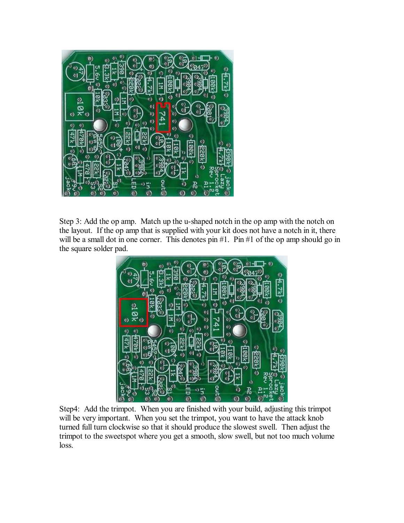

Step 3: Add the op amp. Match up the u-shaped notch in the op amp with the notch on the layout. If the op amp that is supplied with your kit does not have a notch in it, there will be a small dot in one corner. This denotes pin #1. Pin #1 of the op amp should go in the square solder pad.



Step4: Add the trimpot. When you are finished with your build, adjusting this trimpot will be very important. When you set the trimpot, you want to have the attack knob turned full turn clockwise so that it should produce the slowest swell. Then adjust the trimpot to the sweetspot where you get a smooth, slow swell, but not too much volume loss.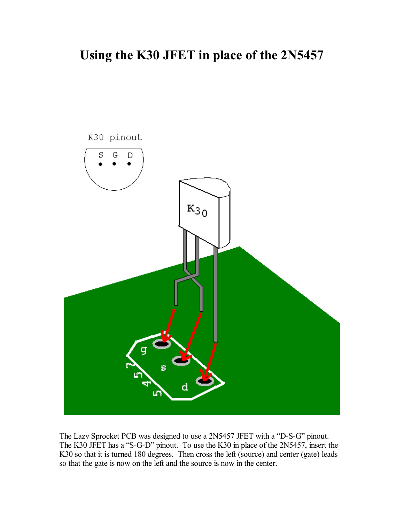## **Using the K30 JFET in place of the 2N5457**



The Lazy Sprocket PCB was designed to use a 2N5457 JFET with a "D-S-G" pinout. The K30 JFET has a "S-G-D" pinout. To use the K30 in place of the 2N5457, insert the K30 so that it is turned 180 degrees. Then cross the left (source) and center (gate) leads so that the gate is now on the left and the source is now in the center.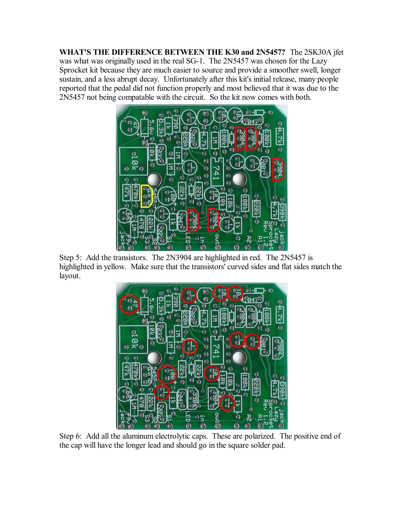**WHAT'S THE DIFFERENCE BETWEEN THE K30 and 2N5457?** The 2SK30A jfet was what was originally used in the real SG-1. The 2N5457 was chosen for the Lazy Sprocket kit because they are much easier to source and provide a smoother swell, longer sustain, and a less abrupt decay. Unfortunately after this kit's initial release, many people reported that the pedal did not function properly and most believed that it was due to the 2N5457 not being compatable with the circuit. So the kit now comes with both.



Step 5: Add the transistors. The 2N3904 are highlighted in red. The 2N5457 is highlighted in yellow. Make sure that the transistors' curved sides and flat sides match the layout.



Step 6: Add all the aluminum electrolytic caps. These are polarized. The positive end of the cap will have the longer lead and should go in the square solder pad.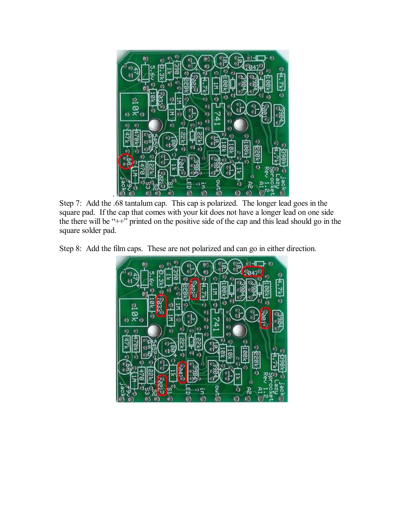

Step 7: Add the .68 tantalum cap. This cap is polarized. The longer lead goes in the square pad. If the cap that comes with your kit does not have a longer lead on one side the there will be  $+$ <sup>2</sup> printed on the positive side of the cap and this lead should go in the square solder pad.

Step 8: Add the film caps. These are not polarized and can go in either direction.

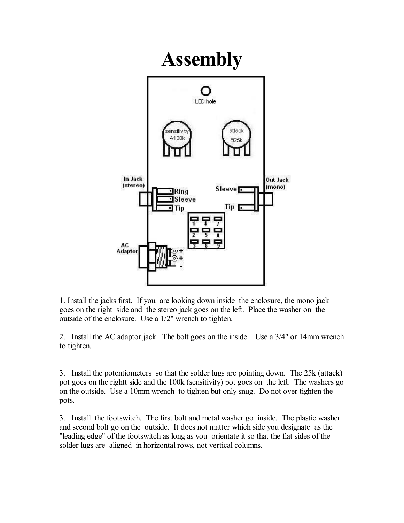

1. Install the jacks first. If you are looking down inside the enclosure, the mono jack goes on the right side and the stereo jack goes on the left. Place the washer on the outside of the enclosure. Use a 1/2" wrench to tighten.

2. Install the AC adaptor jack. The bolt goes on the inside. Use a 3/4" or 14mm wrench to tighten.

3. Install the potentiometers so that the solder lugs are pointing down. The 25k (attack) pot goes on the rightt side and the 100k (sensitivity) pot goes on the left. The washers go on the outside. Use a 10mm wrench to tighten but only snug. Do not over tighten the pots.

3. Install the footswitch. The first bolt and metal washer go inside. The plastic washer and second bolt go on the outside. It does not matter which side you designate as the "leading edge" of the footswitch as long as you orientate it so that the flat sides of the solder lugs are aligned in horizontal rows, not vertical columns.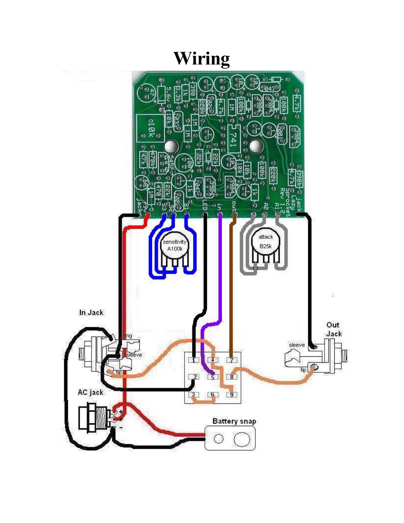# **Wiring**

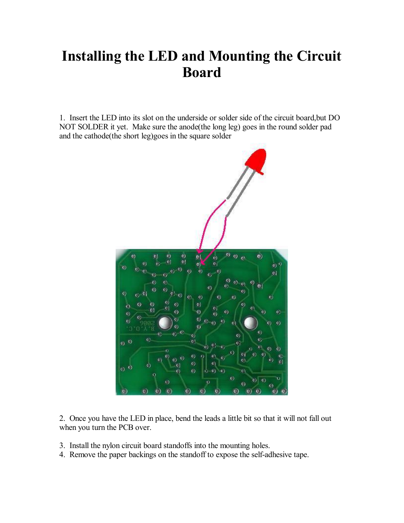# **Installing the LED and Mounting the Circuit Board**

1. Insert the LED into its slot on the underside or solder side of the circuit board,but DO NOT SOLDER it yet. Make sure the anode(the long leg) goes in the round solder pad and the cathode(the short leg)goes in the square solder



2. Once you have the LED in place, bend the leads a little bit so that it will not fall out when you turn the PCB over.

- 3. Install the nylon circuit board standoffs into the mounting holes.
- 4. Remove the paper backings on the standoff to expose the self-adhesive tape.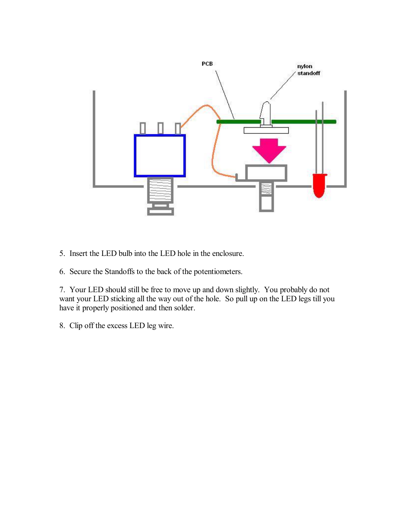

- 5. Insert the LED bulb into the LED hole in the enclosure.
- 6. Secure the Standoffs to the back of the potentiometers.

7. Your LED should still be free to move up and down slightly. You probably do not want your LED sticking all the way out of the hole. So pull up on the LED legs till you have it properly positioned and then solder.

8. Clip off the excess LED leg wire.